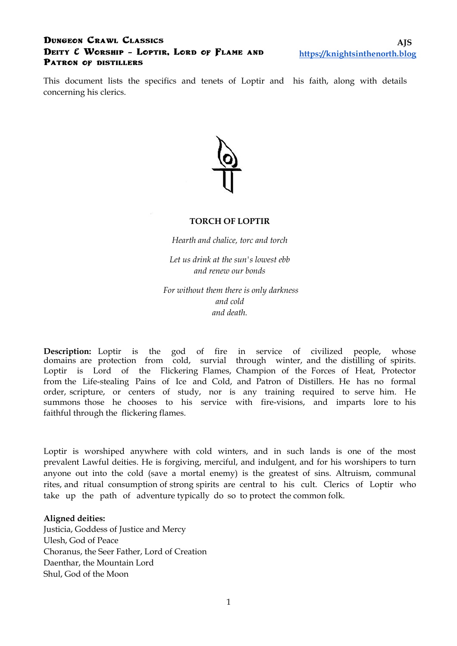### **Dungeon Crawl Classics Deity & Worship – Loptir, Lord of Flame and Patron of distillers**

This document lists the specifics and tenets of Loptir and his faith, along with details concerning his clerics.



#### **TORCH OF LOPTIR**

*Hearth and chalice, torc and torch*

*Let us drink at the sun's lowest ebb and renew our bonds*

 *For without them there is only darkness and cold and death.* 

**Description:** Loptir is the god of fire in service of civilized people, whose domains are protection from cold, survial through winter, and the distilling of spirits. Loptir is Lord of the Flickering Flames, Champion of the Forces of Heat, Protector from the Life-stealing Pains of Ice and Cold, and Patron of Distillers. He has no formal order, scripture, or centers of study, nor is any training required to serve him. He summons those he chooses to his service with fire-visions, and imparts lore to his faithful through the flickering flames.

Loptir is worshiped anywhere with cold winters, and in such lands is one of the most prevalent Lawful deities. He is forgiving, merciful, and indulgent, and for his worshipers to turn anyone out into the cold (save a mortal enemy) is the greatest of sins. Altruism, communal rites, and ritual consumption of strong spirits are central to his cult. Clerics of Loptir who take up the path of adventure typically do so to protect the common folk.

#### **Aligned deities:**

Justicia, Goddess of Justice and Mercy Ulesh, God of Peace Choranus, the Seer Father, Lord of Creation Daenthar, the Mountain Lord Shul, God of the Moon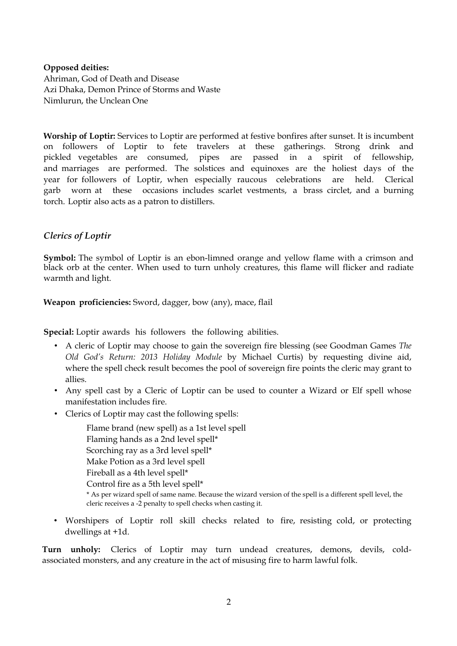#### **Opposed deities:**

Ahriman, God of Death and Disease Azi Dhaka, Demon Prince of Storms and Waste Nimlurun, the Unclean One

**Worship of Loptir:** Services to Loptir are performed at festive bonfires after sunset. It is incumbent on followers of Loptir to fete travelers at these gatherings. Strong drink and pickled vegetables are consumed, pipes are passed in a spirit of fellowship, and marriages are performed. The solstices and equinoxes are the holiest days of the year for followers of Loptir, when especially raucous celebrations are held. Clerical garb worn at these occasions includes scarlet vestments, a brass circlet, and a burning torch. Loptir also acts as a patron to distillers.

## *Clerics of Loptir*

**Symbol:** The symbol of Loptir is an ebon-limned orange and yellow flame with a crimson and black orb at the center. When used to turn unholy creatures, this flame will flicker and radiate warmth and light.

**Weapon proficiencies:** Sword, dagger, bow (any), mace, flail

**Special:** Loptir awards his followers the following abilities.

- A cleric of Loptir may choose to gain the sovereign fire blessing (see Goodman Games *The Old God's Return: 2013 Holiday Module* by Michael Curtis) by requesting divine aid, where the spell check result becomes the pool of sovereign fire points the cleric may grant to allies.
- Any spell cast by a Cleric of Loptir can be used to counter a Wizard or Elf spell whose manifestation includes fire.
- Clerics of Loptir may cast the following spells:

Flame brand (new spell) as a 1st level spell Flaming hands as a 2nd level spell\* Scorching ray as a 3rd level spell\* Make Potion as a 3rd level spell Fireball as a 4th level spell\* Control fire as a 5th level spell\* \* As per wizard spell of same name. Because the wizard version of the spell is a different spell level, the cleric receives a -2 penalty to spell checks when casting it.

• Worshipers of Loptir roll skill checks related to fire, resisting cold, or protecting dwellings at +1d.

**Turn unholy:** Clerics of Loptir may turn undead creatures, demons, devils, coldassociated monsters, and any creature in the act of misusing fire to harm lawful folk.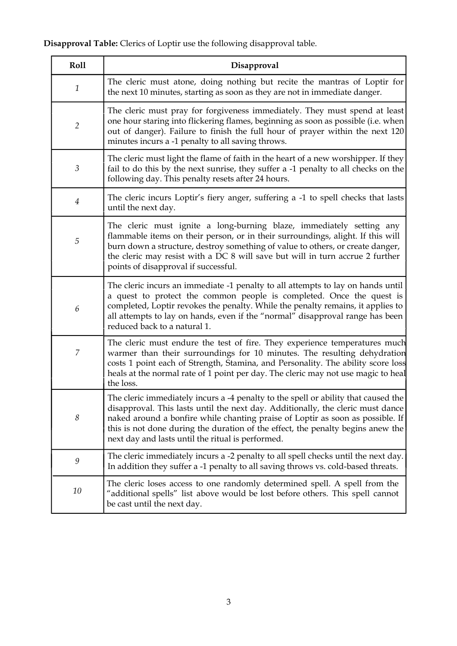## **Disapproval Table:** Clerics of Loptir use the following disapproval table.

| Roll             | Disapproval                                                                                                                                                                                                                                                                                                                                                                                     |
|------------------|-------------------------------------------------------------------------------------------------------------------------------------------------------------------------------------------------------------------------------------------------------------------------------------------------------------------------------------------------------------------------------------------------|
| $\mathbf{1}$     | The cleric must atone, doing nothing but recite the mantras of Loptir for<br>the next 10 minutes, starting as soon as they are not in immediate danger.                                                                                                                                                                                                                                         |
| $\overline{2}$   | The cleric must pray for forgiveness immediately. They must spend at least<br>one hour staring into flickering flames, beginning as soon as possible (i.e. when<br>out of danger). Failure to finish the full hour of prayer within the next 120<br>minutes incurs a -1 penalty to all saving throws.                                                                                           |
| 3                | The cleric must light the flame of faith in the heart of a new worshipper. If they<br>fail to do this by the next sunrise, they suffer a -1 penalty to all checks on the<br>following day. This penalty resets after 24 hours.                                                                                                                                                                  |
| 4                | The cleric incurs Loptir's fiery anger, suffering a -1 to spell checks that lasts<br>until the next day.                                                                                                                                                                                                                                                                                        |
| $\sqrt{5}$       | The cleric must ignite a long-burning blaze, immediately setting any<br>flammable items on their person, or in their surroundings, alight. If this will<br>burn down a structure, destroy something of value to others, or create danger,<br>the cleric may resist with a DC 8 will save but will in turn accrue 2 further<br>points of disapproval if successful.                              |
| 6                | The cleric incurs an immediate -1 penalty to all attempts to lay on hands until<br>a quest to protect the common people is completed. Once the quest is<br>completed, Loptir revokes the penalty. While the penalty remains, it applies to<br>all attempts to lay on hands, even if the "normal" disapproval range has been<br>reduced back to a natural 1.                                     |
| $\boldsymbol{7}$ | The cleric must endure the test of fire. They experience temperatures much<br>warmer than their surroundings for 10 minutes. The resulting dehydration<br>costs 1 point each of Strength, Stamina, and Personality. The ability score loss<br>heals at the normal rate of 1 point per day. The cleric may not use magic to heal<br>the loss.                                                    |
| 8                | The cleric immediately incurs a -4 penalty to the spell or ability that caused the<br>disapproval. This lasts until the next day. Additionally, the cleric must dance<br>naked around a bonfire while chanting praise of Loptir as soon as possible. If<br>this is not done during the duration of the effect, the penalty begins anew the<br>next day and lasts until the ritual is performed. |
| 9                | The cleric immediately incurs a -2 penalty to all spell checks until the next day.<br>In addition they suffer a -1 penalty to all saving throws vs. cold-based threats.                                                                                                                                                                                                                         |
| 10               | The cleric loses access to one randomly determined spell. A spell from the<br>"additional spells" list above would be lost before others. This spell cannot<br>be cast until the next day.                                                                                                                                                                                                      |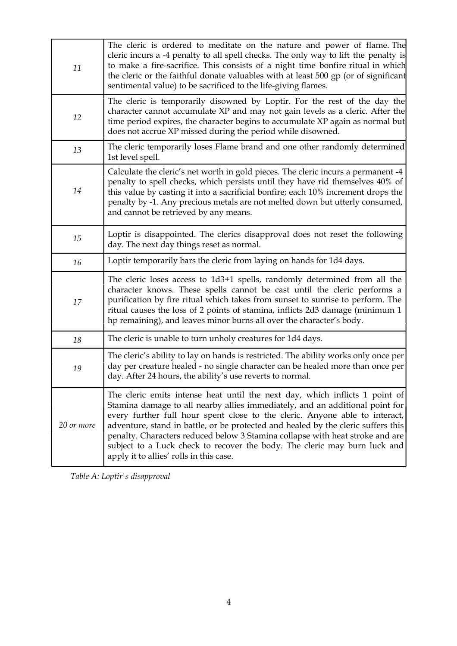| 11         | The cleric is ordered to meditate on the nature and power of flame. The<br>cleric incurs a -4 penalty to all spell checks. The only way to lift the penalty is<br>to make a fire-sacrifice. This consists of a night time bonfire ritual in which<br>the cleric or the faithful donate valuables with at least 500 gp (or of significant<br>sentimental value) to be sacrificed to the life-giving flames.                                                                                                                               |
|------------|------------------------------------------------------------------------------------------------------------------------------------------------------------------------------------------------------------------------------------------------------------------------------------------------------------------------------------------------------------------------------------------------------------------------------------------------------------------------------------------------------------------------------------------|
| 12         | The cleric is temporarily disowned by Loptir. For the rest of the day the<br>character cannot accumulate XP and may not gain levels as a cleric. After the<br>time period expires, the character begins to accumulate XP again as normal but<br>does not accrue XP missed during the period while disowned.                                                                                                                                                                                                                              |
| 13         | The cleric temporarily loses Flame brand and one other randomly determined<br>1st level spell.                                                                                                                                                                                                                                                                                                                                                                                                                                           |
| 14         | Calculate the cleric's net worth in gold pieces. The cleric incurs a permanent -4<br>penalty to spell checks, which persists until they have rid themselves 40% of<br>this value by casting it into a sacrificial bonfire; each 10% increment drops the<br>penalty by -1. Any precious metals are not melted down but utterly consumed,<br>and cannot be retrieved by any means.                                                                                                                                                         |
| 15         | Loptir is disappointed. The clerics disapproval does not reset the following<br>day. The next day things reset as normal.                                                                                                                                                                                                                                                                                                                                                                                                                |
| 16         | Loptir temporarily bars the cleric from laying on hands for 1d4 days.                                                                                                                                                                                                                                                                                                                                                                                                                                                                    |
| 17         | The cleric loses access to 1d3+1 spells, randomly determined from all the<br>character knows. These spells cannot be cast until the cleric performs a<br>purification by fire ritual which takes from sunset to sunrise to perform. The<br>ritual causes the loss of 2 points of stamina, inflicts 2d3 damage (minimum 1<br>hp remaining), and leaves minor burns all over the character's body.                                                                                                                                         |
| 18         | The cleric is unable to turn unholy creatures for 1d4 days.                                                                                                                                                                                                                                                                                                                                                                                                                                                                              |
| 19         | The cleric's ability to lay on hands is restricted. The ability works only once per<br>day per creature healed - no single character can be healed more than once per<br>day. After 24 hours, the ability's use reverts to normal.                                                                                                                                                                                                                                                                                                       |
| 20 or more | The cleric emits intense heat until the next day, which inflicts 1 point of<br>Stamina damage to all nearby allies immediately, and an additional point for<br>every further full hour spent close to the cleric. Anyone able to interact,<br>adventure, stand in battle, or be protected and healed by the cleric suffers this<br>penalty. Characters reduced below 3 Stamina collapse with heat stroke and are<br>subject to a Luck check to recover the body. The cleric may burn luck and<br>apply it to allies' rolls in this case. |

*Table A: Loptir's disapproval*